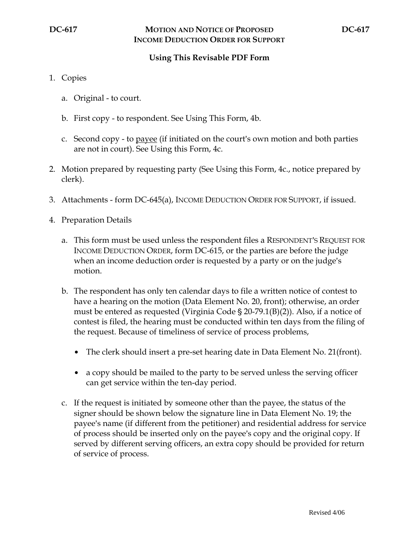## **Using This Revisable PDF Form**

- 1. Copies
	- a. Original to court.
	- b. First copy to respondent. See Using This Form, 4b.
	- c. Second copy to payee (if initiated on the court's own motion and both parties are not in court). See Using this Form, 4c.
- 2. Motion prepared by requesting party (See Using this Form, 4c., notice prepared by clerk).
- 3. Attachments form DC-645(a), INCOME DEDUCTION ORDER FOR SUPPORT, if issued.
- 4. Preparation Details
	- a. This form must be used unless the respondent files a RESPONDENT'S REQUEST FOR INCOME DEDUCTION ORDER, form DC-615, or the parties are before the judge when an income deduction order is requested by a party or on the judge's motion.
	- b. The respondent has only ten calendar days to file a written notice of contest to have a hearing on the motion (Data Element No. 20, front); otherwise, an order must be entered as requested (Virginia Code  $\S 20$ -79.1(B)(2)). Also, if a notice of contest is filed, the hearing must be conducted within ten days from the filing of the request. Because of timeliness of service of process problems,
		- The clerk should insert a pre-set hearing date in Data Element No. 21(front).
		- a copy should be mailed to the party to be served unless the serving officer can get service within the ten-day period.
	- c. If the request is initiated by someone other than the payee, the status of the signer should be shown below the signature line in Data Element No. 19; the payee's name (if different from the petitioner) and residential address for service of process should be inserted only on the payee's copy and the original copy. If served by different serving officers, an extra copy should be provided for return of service of process.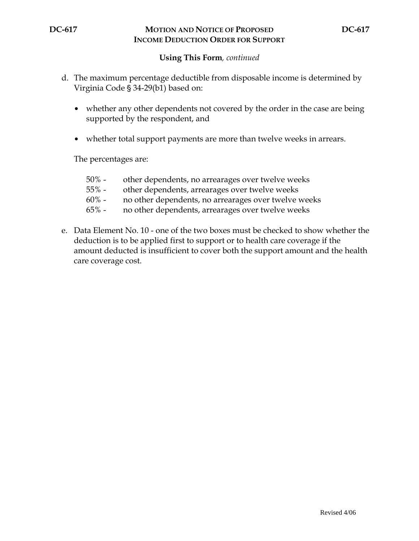## **DC-617 MOTION AND NOTICE OF PROPOSED DC-617 INCOME DEDUCTION ORDER FOR SUPPORT**

## **Using This Form***, continued*

- d. The maximum percentage deductible from disposable income is determined by Virginia Code § 34-29(b1) based on:
	- whether any other dependents not covered by the order in the case are being supported by the respondent, and
	- whether total support payments are more than twelve weeks in arrears.

The percentages are:

- 50% other dependents, no arrearages over twelve weeks
- 55% other dependents, arrearages over twelve weeks
- 60% no other dependents, no arrearages over twelve weeks
- 65% no other dependents, arrearages over twelve weeks
- e. Data Element No. 10 one of the two boxes must be checked to show whether the deduction is to be applied first to support or to health care coverage if the amount deducted is insufficient to cover both the support amount and the health care coverage cost.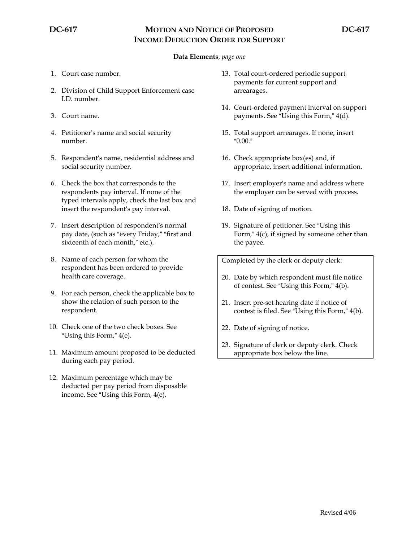# **DC-617 MOTION AND NOTICE OF PROPOSED DC-617 INCOME DEDUCTION ORDER FOR SUPPORT**

### **Data Elements**, *page one*

- 1. Court case number.
- 2. Division of Child Support Enforcement case I.D. number.
- 3. Court name.
- 4. Petitioner's name and social security number.
- 5. Respondent's name, residential address and social security number.
- 6. Check the box that corresponds to the respondents pay interval. If none of the typed intervals apply, check the last box and insert the respondent's pay interval.
- 7. Insert description of respondent's normal pay date, (such as "every Friday," "first and sixteenth of each month," etc.).
- 8. Name of each person for whom the respondent has been ordered to provide health care coverage.
- 9. For each person, check the applicable box to show the relation of such person to the respondent.
- 10. Check one of the two check boxes. See "Using this Form,"  $4(e)$ .
- 11. Maximum amount proposed to be deducted during each pay period.
- 12. Maximum percentage which may be deducted per pay period from disposable income. See "Using this Form,  $4(e)$ .
- 13. Total court-ordered periodic support payments for current support and arrearages.
- 14. Court-ordered payment interval on support payments. See "Using this Form,"  $4(d)$ .
- 15. Total support arrearages. If none, insert  $"0.00."$
- 16. Check appropriate box(es) and, if appropriate, insert additional information.
- 17. Insert employer's name and address where the employer can be served with process.
- 18. Date of signing of motion.
- 19. Signature of petitioner. See "Using this Form,"  $4(c)$ , if signed by someone other than the payee.

Completed by the clerk or deputy clerk:

- 20. Date by which respondent must file notice of contest. See "Using this Form," 4(b).
- 21. Insert pre-set hearing date if notice of contest is filed. See "Using this Form," 4(b).
- 22. Date of signing of notice.
- 23. Signature of clerk or deputy clerk. Check appropriate box below the line.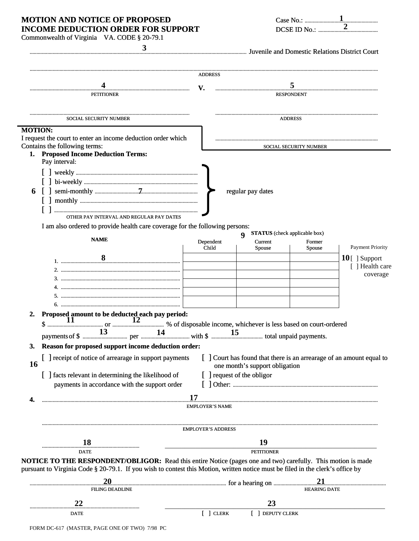# MOTION AND NOTICE OF PROPOSED **INCOME DEDUCTION ORDER FOR SUPPORT**

| Case No.: $\mathbf{I}$ |              |
|------------------------|--------------|
|                        | DCSE ID No.: |

| 3                                                                                                                                                                                                                                                     |                            | Invenile and Domestic Relations District Court (2014) and Domestic Relations District Court            |                        |                         |  |
|-------------------------------------------------------------------------------------------------------------------------------------------------------------------------------------------------------------------------------------------------------|----------------------------|--------------------------------------------------------------------------------------------------------|------------------------|-------------------------|--|
|                                                                                                                                                                                                                                                       | <b>ADDRESS</b>             |                                                                                                        |                        |                         |  |
|                                                                                                                                                                                                                                                       | V.                         |                                                                                                        |                        |                         |  |
| <b>PETITIONER</b>                                                                                                                                                                                                                                     |                            | <b>RESPONDENT</b>                                                                                      |                        |                         |  |
|                                                                                                                                                                                                                                                       |                            |                                                                                                        |                        |                         |  |
| <b>SOCIAL SECURITY NUMBER</b>                                                                                                                                                                                                                         | <b>ADDRESS</b>             |                                                                                                        |                        |                         |  |
| <b>MOTION:</b><br>I request the court to enter an income deduction order which<br>Contains the following terms:                                                                                                                                       |                            |                                                                                                        | SOCIAL SECURITY NUMBER |                         |  |
| 1. Proposed Income Deduction Terms:<br>Pay interval:<br>6                                                                                                                                                                                             |                            | regular pay dates                                                                                      |                        |                         |  |
| OTHER PAY INTERVAL AND REGULAR PAY DATES<br>I am also ordered to provide health care coverage for the following persons:                                                                                                                              |                            | <b>STATUS</b> (check applicable box)                                                                   |                        |                         |  |
| <b>NAME</b>                                                                                                                                                                                                                                           | Dependent<br>Child         | $\boldsymbol{Q}$<br>Current<br><b>Spouse</b>                                                           | Former<br>Spouse       | <b>Payment Priority</b> |  |
|                                                                                                                                                                                                                                                       |                            |                                                                                                        |                        | $10$ [ ] Support        |  |
|                                                                                                                                                                                                                                                       |                            |                                                                                                        |                        | [ ] Health care         |  |
|                                                                                                                                                                                                                                                       |                            |                                                                                                        |                        | coverage                |  |
|                                                                                                                                                                                                                                                       |                            |                                                                                                        |                        |                         |  |
|                                                                                                                                                                                                                                                       |                            |                                                                                                        |                        |                         |  |
|                                                                                                                                                                                                                                                       |                            |                                                                                                        |                        |                         |  |
| Proposed amount to be deducted each pay period:<br>$\frac{1}{2}$<br>2.                                                                                                                                                                                |                            |                                                                                                        |                        |                         |  |
|                                                                                                                                                                                                                                                       |                            |                                                                                                        |                        |                         |  |
|                                                                                                                                                                                                                                                       |                            |                                                                                                        |                        |                         |  |
| Reason for proposed support income deduction order:<br>3.                                                                                                                                                                                             |                            |                                                                                                        |                        |                         |  |
| [ ] receipt of notice of arrearage in support payments<br>16                                                                                                                                                                                          |                            | [ ] Court has found that there is an arrearage of an amount equal to<br>one month's support obligation |                        |                         |  |
| [ ] facts relevant in determining the likelihood of<br>payments in accordance with the support order                                                                                                                                                  | [ ] request of the obligor |                                                                                                        |                        |                         |  |
|                                                                                                                                                                                                                                                       | 17                         |                                                                                                        |                        |                         |  |
| 4.                                                                                                                                                                                                                                                    | <b>EMPLOYER'S NAME</b>     |                                                                                                        |                        |                         |  |
|                                                                                                                                                                                                                                                       | <b>EMPLOYER'S ADDRESS</b>  |                                                                                                        |                        |                         |  |
| 18                                                                                                                                                                                                                                                    |                            | 19                                                                                                     |                        |                         |  |
| DATE                                                                                                                                                                                                                                                  |                            | <b>PETITIONER</b>                                                                                      |                        |                         |  |
| <b>NOTICE TO THE RESPONDENT/OBLIGOR:</b> Read this entire Notice (pages one and two) carefully. This motion is made<br>pursuant to Virginia Code § 20-79.1. If you wish to contest this Motion, written notice must be filed in the clerk's office by |                            |                                                                                                        |                        |                         |  |
|                                                                                                                                                                                                                                                       |                            |                                                                                                        |                        |                         |  |
| 20<br><b>FILING DEADLINE</b>                                                                                                                                                                                                                          |                            |                                                                                                        | <b>HEARING DATE</b>    |                         |  |
| 22                                                                                                                                                                                                                                                    |                            | 23                                                                                                     |                        |                         |  |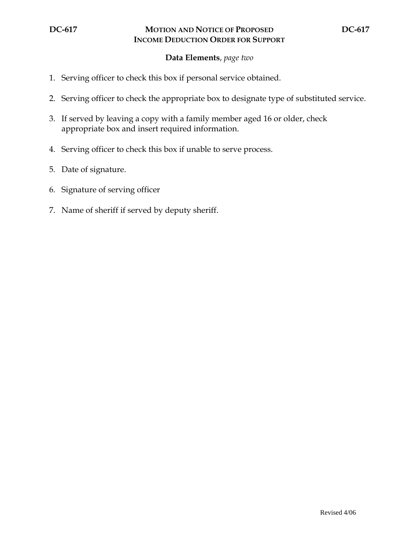## **Data Elements**, *page two*

- 1. Serving officer to check this box if personal service obtained.
- 2. Serving officer to check the appropriate box to designate type of substituted service.
- 3. If served by leaving a copy with a family member aged 16 or older, check appropriate box and insert required information.
- 4. Serving officer to check this box if unable to serve process.
- 5. Date of signature.
- 6. Signature of serving officer
- 7. Name of sheriff if served by deputy sheriff.